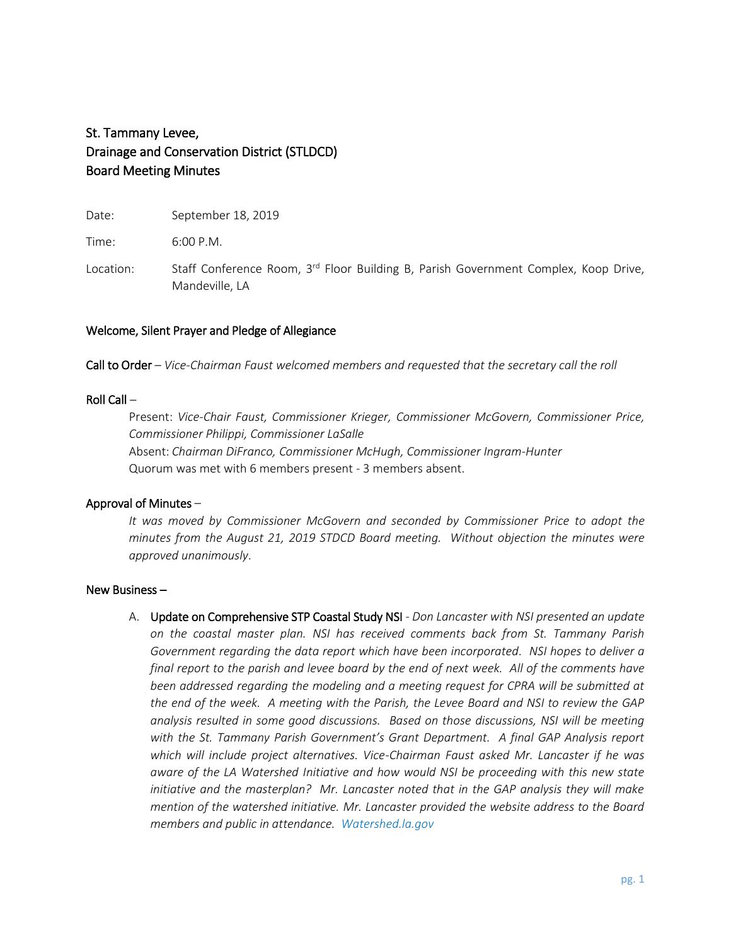# St. Tammany Levee, Drainage and Conservation District (STLDCD) Board Meeting Minutes

Date: September 18, 2019

Time: 6:00 P.M.

Location: Staff Conference Room, 3<sup>rd</sup> Floor Building B, Parish Government Complex, Koop Drive, Mandeville, LA

# Welcome, Silent Prayer and Pledge of Allegiance

Call to Order – *Vice-Chairman Faust welcomed members and requested that the secretary call the roll*

## Roll Call –

Present: *Vice-Chair Faust, Commissioner Krieger, Commissioner McGovern, Commissioner Price, Commissioner Philippi, Commissioner LaSalle* Absent: *Chairman DiFranco, Commissioner McHugh, Commissioner Ingram-Hunter* Quorum was met with 6 members present - 3 members absent.

#### Approval of Minutes –

*It was moved by Commissioner McGovern and seconded by Commissioner Price to adopt the minutes from the August 21, 2019 STDCD Board meeting. Without objection the minutes were approved unanimously*.

#### New Business –

A. Update on Comprehensive STP Coastal Study NSI - *Don Lancaster with NSI presented an update on the coastal master plan. NSI has received comments back from St. Tammany Parish Government regarding the data report which have been incorporated. NSI hopes to deliver a final report to the parish and levee board by the end of next week. All of the comments have been addressed regarding the modeling and a meeting request for CPRA will be submitted at the end of the week. A meeting with the Parish, the Levee Board and NSI to review the GAP analysis resulted in some good discussions. Based on those discussions, NSI will be meeting with the St. Tammany Parish Government's Grant Department. A final GAP Analysis report which will include project alternatives. Vice-Chairman Faust asked Mr. Lancaster if he was aware of the LA Watershed Initiative and how would NSI be proceeding with this new state initiative and the masterplan? Mr. Lancaster noted that in the GAP analysis they will make mention of the watershed initiative. Mr. Lancaster provided the website address to the Board members and public in attendance. Watershed.la.gov*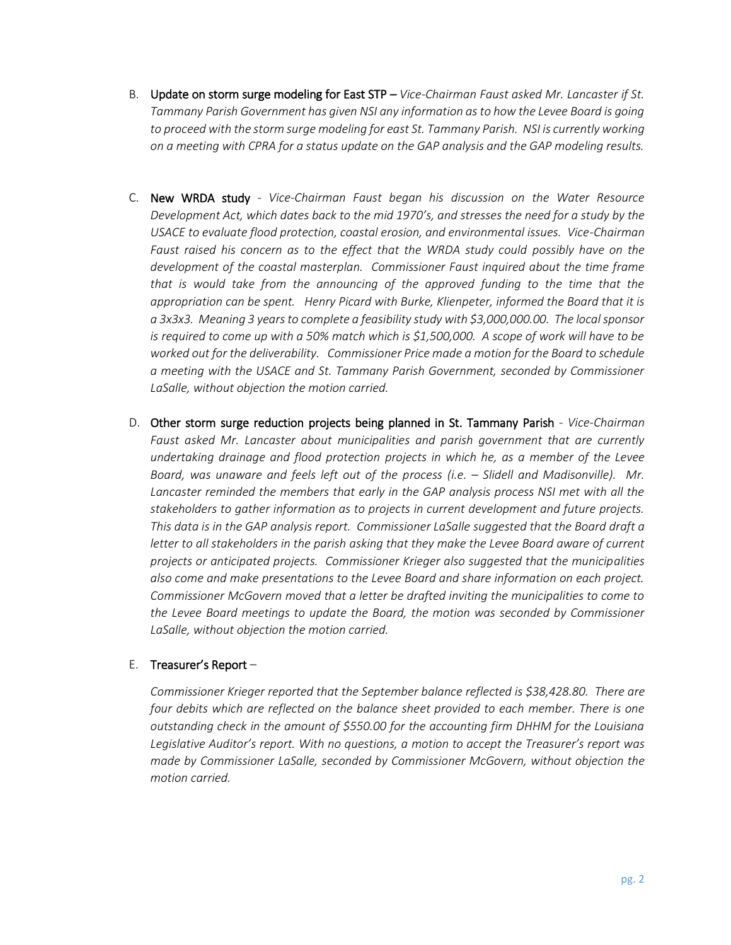- B. Update on storm surge modeling for East STP *Vice-Chairman Faust asked Mr. Lancaster if St. Tammany Parish Government has given NSI any information as to how the Levee Board is going to proceed with the storm surge modeling for east St. Tammany Parish. NSI is currently working on a meeting with CPRA for a status update on the GAP analysis and the GAP modeling results.*
- C. New WRDA study *- Vice-Chairman Faust began his discussion on the Water Resource Development Act, which dates back to the mid 1970's, and stresses the need for a study by the USACE to evaluate flood protection, coastal erosion, and environmental issues. Vice-Chairman Faust raised his concern as to the effect that the WRDA study could possibly have on the development of the coastal masterplan. Commissioner Faust inquired about the time frame that is would take from the announcing of the approved funding to the time that the appropriation can be spent. Henry Picard with Burke, Klienpeter, informed the Board that it is a 3x3x3. Meaning 3 years to complete a feasibility study with \$3,000,000.00. The local sponsor is required to come up with a 50% match which is \$1,500,000. A scope of work will have to be worked out for the deliverability. Commissioner Price made a motion for the Board to schedule a meeting with the USACE and St. Tammany Parish Government, seconded by Commissioner LaSalle, without objection the motion carried.*
- D. Other storm surge reduction projects being planned in St. Tammany Parish *- Vice-Chairman Faust asked Mr. Lancaster about municipalities and parish government that are currently undertaking drainage and flood protection projects in which he, as a member of the Levee*  Board, was unaware and feels left out of the process (i.e. – Slidell and Madisonville). Mr. Lancaster reminded the members that early in the GAP analysis process NSI met with all the *stakeholders to gather information as to projects in current development and future projects. This data is in the GAP analysis report. Commissioner LaSalle suggested that the Board draft a letter to all stakeholders in the parish asking that they make the Levee Board aware of current projects or anticipated projects. Commissioner Krieger also suggested that the municipalities also come and make presentations to the Levee Board and share information on each project. Commissioner McGovern moved that a letter be drafted inviting the municipalities to come to the Levee Board meetings to update the Board, the motion was seconded by Commissioner LaSalle, without objection the motion carried.*

# E. Treasurer's Report  $-$

*Commissioner Krieger reported that the September balance reflected is \$38,428.80. There are four debits which are reflected on the balance sheet provided to each member. There is one outstanding check in the amount of \$550.00 for the accounting firm DHHM for the Louisiana Legislative Auditor's report. With no questions, a motion to accept the Treasurer's report was made by Commissioner LaSalle, seconded by Commissioner McGovern, without objection the motion carried.*